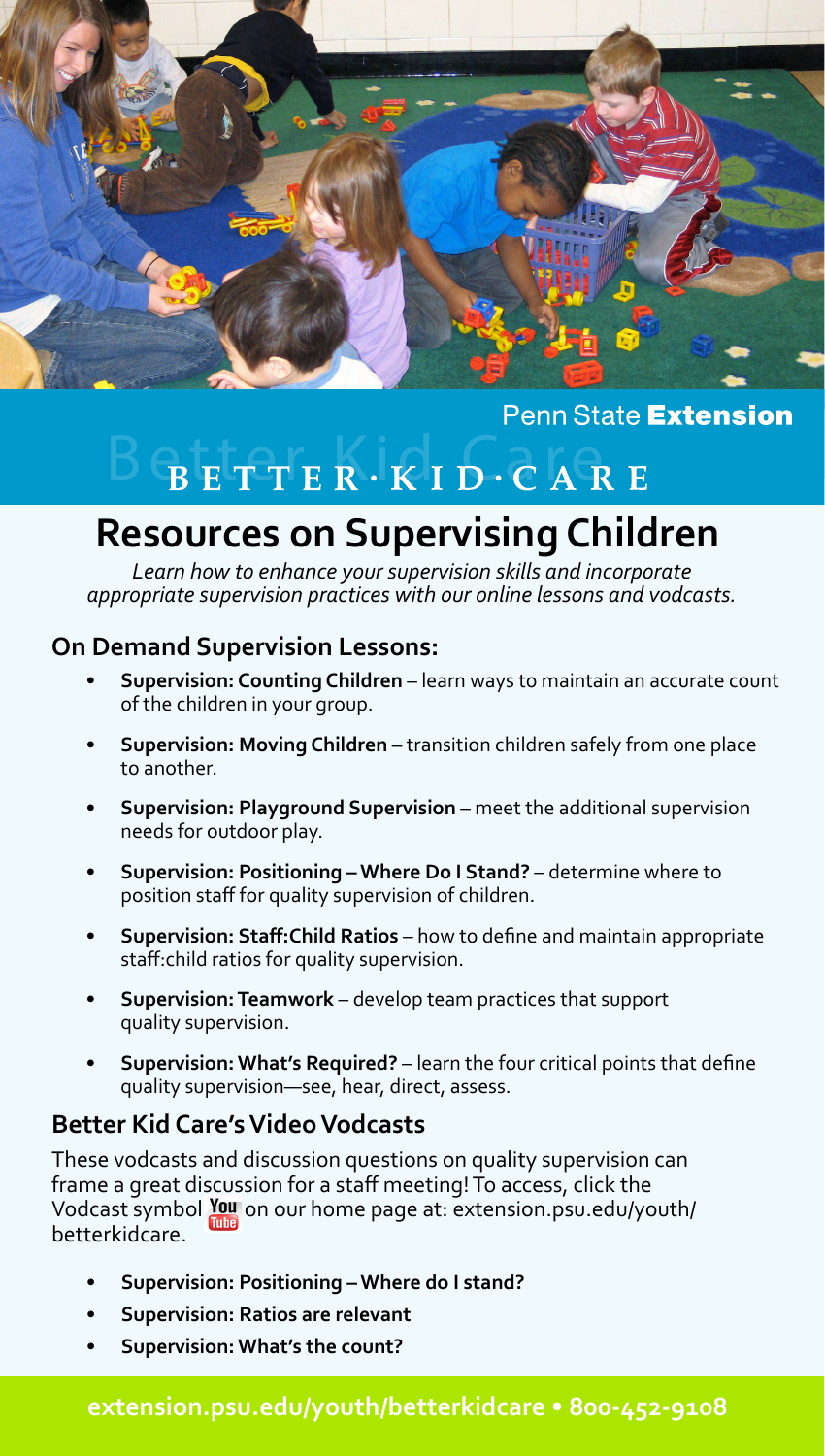

### Penn State Extension

### $B$  E T T E R  $\cdot$  K I D  $\cdot$  C A R E

### **Resources on Supervising Children**

*Learn how to enhance your supervision skills and incorporate appropriate supervision practices with our online lessons and vodcasts.*

### **On Demand Supervision Lessons:**

- **• Supervision: Counting Children** learn ways to maintain an accurate count of the children in your group.
- **• Supervision: Moving Children** transition children safely from one place to another.
- **• Supervision: Playground Supervision**  meet the additional supervision needs for outdoor play.
- **• Supervision: Positioning Where Do I Stand?** determine where to position staff for quality supervision of children.
- **• Supervision: Staff:Child Ratios** how to define and maintain appropriate staff:child ratios for quality supervision.
- **• Supervision: Teamwork**  develop team practices that support quality supervision.
- **• Supervision: What's Required?** learn the four critical points that define quality supervision—see, hear, direct, assess.

### **Better Kid Care's Video Vodcasts**

These vodcasts and discussion questions on quality supervision can frame a great discussion for a staff meeting! To access, click the Vodcast symbol You on our home page at: extension.psu.edu/youth/ betterkidcare.

- **• Supervision: Positioning Where do I stand?**
- **• Supervision: Ratios are relevant**
- **• Supervision: What's the count?**